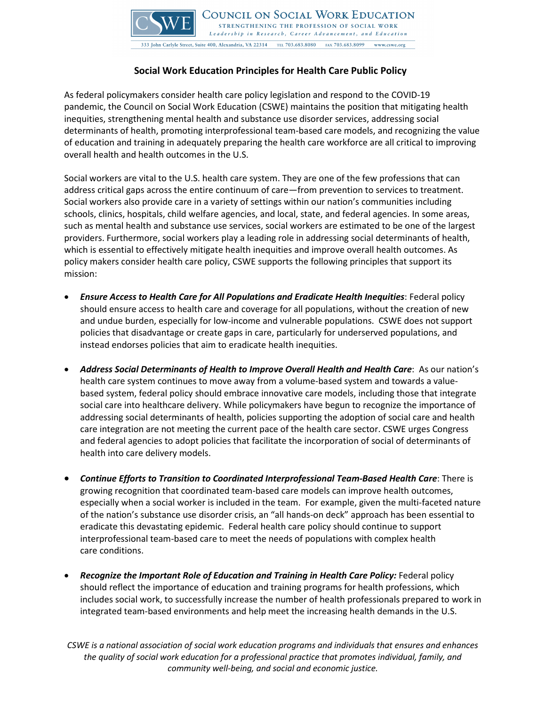

## **Social Work Education Principles for Health Care Public Policy**

As federal policymakers consider health care policy legislation and respond to the COVID-19 pandemic, the Council on Social Work Education (CSWE) maintains the position that mitigating health inequities, strengthening mental health and substance use disorder services, addressing social determinants of health, promoting interprofessional team-based care models, and recognizing the value of education and training in adequately preparing the health care workforce are all critical to improving overall health and health outcomes in the U.S.

Social workers are vital to the U.S. health care system. They are one of the few professions that can address critical gaps across the entire continuum of care—from prevention to services to treatment. Social workers also provide care in a variety of settings within our nation's communities including schools, clinics, hospitals, child welfare agencies, and local, state, and federal agencies. In some areas, such as mental health and substance use services, social workers are estimated to be one of the largest providers. Furthermore, social workers play a leading role in addressing social determinants of health, which is essential to effectively mitigate health inequities and improve overall health outcomes. As policy makers consider health care policy, CSWE supports the following principles that support its mission:

- *Ensure Access to Health Care for All Populations and Eradicate Health Inequities*: Federal policy should ensure access to health care and coverage for all populations, without the creation of new and undue burden, especially for low-income and vulnerable populations. CSWE does not support policies that disadvantage or create gaps in care, particularly for underserved populations, and instead endorses policies that aim to eradicate health inequities.
- *Address Social Determinants of Health to Improve Overall Health and Health Care*: As our nation's health care system continues to move away from a volume-based system and towards a valuebased system, federal policy should embrace innovative care models, including those that integrate social care into healthcare delivery. While policymakers have begun to recognize the importance of addressing social determinants of health, policies supporting the adoption of social care and health care integration are not meeting the current pace of the health care sector. CSWE urges Congress and federal agencies to adopt policies that facilitate the incorporation of social of determinants of health into care delivery models.
- *Continue Efforts to Transition to Coordinated Interprofessional Team-Based Health Care*: There is growing recognition that coordinated team-based care models can improve health outcomes, especially when a social worker is included in the team. For example, given the multi-faceted nature of the nation's substance use disorder crisis, an "all hands-on deck" approach has been essential to eradicate this devastating epidemic. Federal health care policy should continue to support interprofessional team-based care to meet the needs of populations with complex health care conditions.
- *Recognize the Important Role of Education and Training in Health Care Policy:* Federal policy should reflect the importance of education and training programs for health professions, which includes social work, to successfully increase the number of health professionals prepared to work in integrated team-based environments and help meet the increasing health demands in the U.S.

*CSWE is a national association of social work education programs and individuals that ensures and enhances the quality of social work education for a professional practice that promotes individual, family, and community well-being, and social and economic justice.*